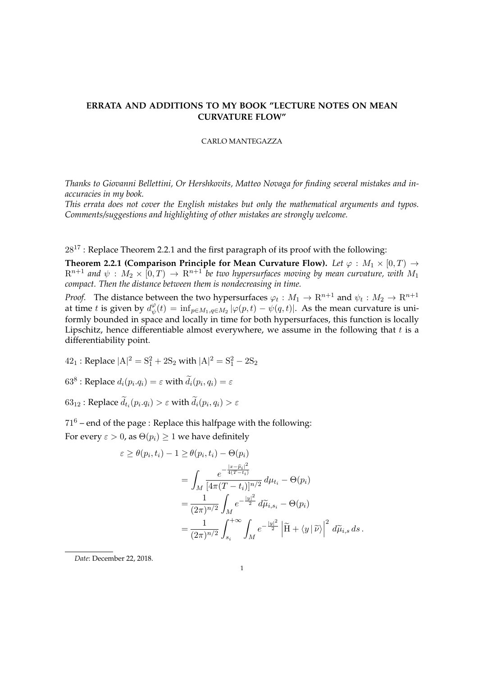## **ERRATA AND ADDITIONS TO MY BOOK "LECTURE NOTES ON MEAN CURVATURE FLOW"**

## CARLO MANTEGAZZA

*Thanks to Giovanni Bellettini, Or Hershkovits, Matteo Novaga for finding several mistakes and inaccuracies in my book.*

*This errata does not cover the English mistakes but only the mathematical arguments and typos. Comments/suggestions and highlighting of other mistakes are strongly welcome.*

 $28^{17}$ : Replace Theorem 2.2.1 and the first paragraph of its proof with the following:

**Theorem 2.2.1 (Comparison Principle for Mean Curvature Flow).** *Let*  $\varphi : M_1 \times [0, T) \rightarrow$  $R^{n+1}$  and  $\psi$  :  $M_2 \times [0, T) \rightarrow R^{n+1}$  be two hypersurfaces moving by mean curvature, with  $M_1$ *compact. Then the distance between them is nondecreasing in time.*

*Proof.* The distance between the two hypersurfaces  $\varphi_t: M_1 \to \mathbb{R}^{n+1}$  and  $\psi_t: M_2 \to \mathbb{R}^{n+1}$ at time t is given by  $d_{\psi}^{\varphi}$  $\psi_\psi^\varphi(t)=\inf_{p\in M_1, q\in M_2} |\varphi(p,t)-\psi(q,t)|.$  As the mean curvature is uniformly bounded in space and locally in time for both hypersurfaces, this function is locally Lipschitz, hence differentiable almost everywhere, we assume in the following that  $t$  is a differentiability point.

- 42<sub>1</sub>: Replace  $|A|^2 = S_1^2 + 2S_2$  with  $|A|^2 = S_1^2 2S_2$
- 63<sup>8</sup>: Replace  $d_i(p_i.q_i)=\varepsilon$  with  $\tilde{d}_i(p_i,q_i)=\varepsilon$
- 63<sub>12</sub>: Replace  $d_{t_i}(p_i,q_i) > \varepsilon$  with  $d_i(p_i,q_i) > \varepsilon$

 $71<sup>6</sup>$  – end of the page : Replace this halfpage with the following:

For every  $\varepsilon > 0$ , as  $\Theta(p_i) \geq 1$  we have definitely

$$
\varepsilon \geq \theta(p_i, t_i) - 1 \geq \theta(p_i, t_i) - \Theta(p_i)
$$
  
= 
$$
\int_M \frac{e^{-\frac{|x - \widehat{p}_i|^2}{4(T - t_i)}}}{[4\pi (T - t_i)]^{n/2}} d\mu_{t_i} - \Theta(p_i)
$$
  
= 
$$
\frac{1}{(2\pi)^{n/2}} \int_M e^{-\frac{|y|^2}{2}} d\widetilde{\mu}_{i, s_i} - \Theta(p_i)
$$
  
= 
$$
\frac{1}{(2\pi)^{n/2}} \int_{s_i}^{+\infty} \int_M e^{-\frac{|y|^2}{2}} \left| \widetilde{H} + \langle y | \widetilde{\nu} \rangle \right|^2 d\widetilde{\mu}_{i, s} ds.
$$

*Date*: December 22, 2018.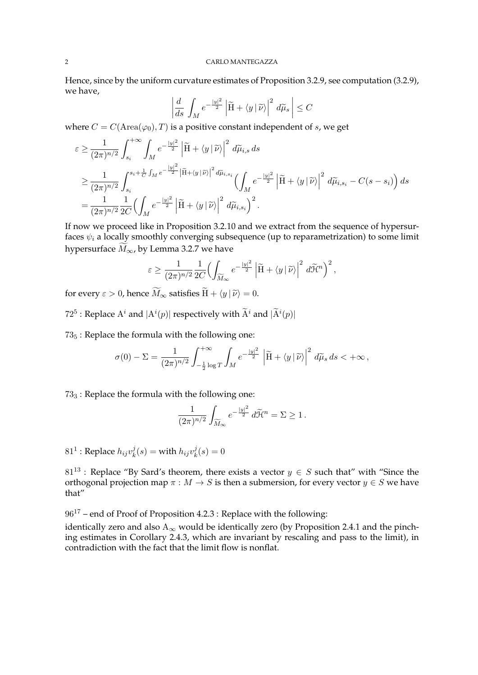Hence, since by the uniform curvature estimates of Proposition 3.2.9, see computation (3.2.9), we have,

$$
\left| \frac{d}{ds} \int_M e^{-\frac{|y|^2}{2}} \left| \widetilde{H} + \langle y | \widetilde{\nu} \rangle \right|^2 d\widetilde{\mu}_s \right| \leq C
$$

where  $C = C(\text{Area}(\varphi_0), T)$  is a positive constant independent of s, we get

$$
\varepsilon \geq \frac{1}{(2\pi)^{n/2}} \int_{s_i}^{+\infty} \int_M e^{-\frac{|y|^2}{2}} \left| \widetilde{H} + \langle y | \widetilde{\nu} \rangle \right|^2 d\widetilde{\mu}_{i,s} ds
$$
  
\n
$$
\geq \frac{1}{(2\pi)^{n/2}} \int_{s_i}^{s_i + \frac{1}{C} \int_M e^{-\frac{|y|^2}{2}} |\widetilde{H} + \langle y | \widetilde{\nu} \rangle|^2 d\widetilde{\mu}_{i,s_i} \left( \int_M e^{-\frac{|y|^2}{2}} \left| \widetilde{H} + \langle y | \widetilde{\nu} \rangle \right|^2 d\widetilde{\mu}_{i,s_i} - C(s - s_i) \right) ds
$$
  
\n
$$
= \frac{1}{(2\pi)^{n/2}} \frac{1}{2C} \left( \int_M e^{-\frac{|y|^2}{2}} \left| \widetilde{H} + \langle y | \widetilde{\nu} \rangle \right|^2 d\widetilde{\mu}_{i,s_i} \right)^2.
$$

If now we proceed like in Proposition 3.2.10 and we extract from the sequence of hypersurfaces  $\psi_i$  a locally smoothly converging subsequence (up to reparametrization) to some limit hypersurface  $\widetilde{M}_{\infty}$ , by Lemma 3.2.7 we have

$$
\varepsilon \geq \frac{1}{(2\pi)^{n/2}} \frac{1}{2C} \Biggl( \int_{\widetilde{M}_{\infty}} e^{-\frac{|y|^2}{2}} \left| \widetilde{H} + \langle y | \widetilde{\nu} \rangle \right|^2 d\widetilde{\mathcal{H}}^n \Biggr)^2 ,
$$

for every  $\varepsilon > 0$ , hence  $\widetilde{M}_{\infty}$  satisfies  $\widetilde{H} + \langle y | \widetilde{\nu} \rangle = 0$ .

- $72^5$ : Replace A<sup>*i*</sup> and  $|A^i(p)|$  respectively with  $\widetilde{A}^i$  and  $|\widetilde{A}^i(p)|$
- $73<sub>5</sub>$ : Replace the formula with the following one:

$$
\sigma(0) - \Sigma = \frac{1}{(2\pi)^{n/2}} \int_{-\frac{1}{2}\log T}^{+\infty} \int_M e^{-\frac{|y|^2}{2}} \left| \widetilde{H} + \langle y | \widetilde{\nu} \rangle \right|^2 d\widetilde{\mu}_s ds < +\infty,
$$

 $73<sub>3</sub>$ : Replace the formula with the following one:

$$
\frac{1}{(2\pi)^{n/2}}\int_{\widetilde{M}_{\infty}}e^{-\frac{|y|^2}{2}}d\widetilde{\mathcal{H}}^n=\Sigma\geq 1.
$$

81<sup>1</sup> : Replace  $h_{ij}v_k^j$  $k^j(s) = \text{with } h_{ij} v^j_k$  $\frac{\partial}{\partial k}(s) = 0$ 

81<sup>13</sup>: Replace "By Sard's theorem, there exists a vector  $y \in S$  such that" with "Since the orthogonal projection map  $\pi : M \to S$  is then a submersion, for every vector  $y \in S$  we have that"

 $96^{17}$  – end of Proof of Proposition 4.2.3 : Replace with the following:

identically zero and also  $A_{\infty}$  would be identically zero (by Proposition 2.4.1 and the pinching estimates in Corollary 2.4.3, which are invariant by rescaling and pass to the limit), in contradiction with the fact that the limit flow is nonflat.